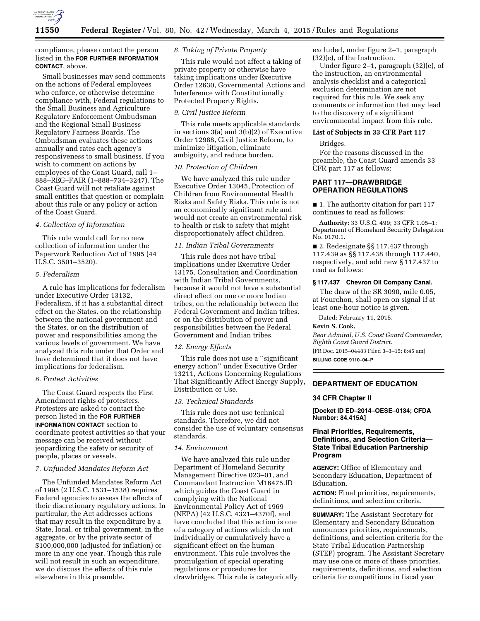

compliance, please contact the person listed in the **FOR FURTHER INFORMATION CONTACT**, above.

Small businesses may send comments on the actions of Federal employees who enforce, or otherwise determine compliance with, Federal regulations to the Small Business and Agriculture Regulatory Enforcement Ombudsman and the Regional Small Business Regulatory Fairness Boards. The Ombudsman evaluates these actions annually and rates each agency's responsiveness to small business. If you wish to comment on actions by employees of the Coast Guard, call 1– 888–REG–FAIR (1–888–734–3247). The Coast Guard will not retaliate against small entities that question or complain about this rule or any policy or action of the Coast Guard.

## *4. Collection of Information*

This rule would call for no new collection of information under the Paperwork Reduction Act of 1995 (44 U.S.C. 3501–3520).

# *5. Federalism*

A rule has implications for federalism under Executive Order 13132, Federalism, if it has a substantial direct effect on the States, on the relationship between the national government and the States, or on the distribution of power and responsibilities among the various levels of government. We have analyzed this rule under that Order and have determined that it does not have implications for federalism.

## *6. Protest Activities*

The Coast Guard respects the First Amendment rights of protesters. Protesters are asked to contact the person listed in the **FOR FURTHER INFORMATION CONTACT** section to coordinate protest activities so that your message can be received without jeopardizing the safety or security of people, places or vessels.

## *7. Unfunded Mandates Reform Act*

The Unfunded Mandates Reform Act of 1995 (2 U.S.C. 1531–1538) requires Federal agencies to assess the effects of their discretionary regulatory actions. In particular, the Act addresses actions that may result in the expenditure by a State, local, or tribal government, in the aggregate, or by the private sector of \$100,000,000 (adjusted for inflation) or more in any one year. Though this rule will not result in such an expenditure, we do discuss the effects of this rule elsewhere in this preamble.

# *8. Taking of Private Property*

This rule would not affect a taking of private property or otherwise have taking implications under Executive Order 12630, Governmental Actions and Interference with Constitutionally Protected Property Rights.

## *9. Civil Justice Reform*

This rule meets applicable standards in sections 3(a) and 3(b)(2) of Executive Order 12988, Civil Justice Reform, to minimize litigation, eliminate ambiguity, and reduce burden.

# *10. Protection of Children*

We have analyzed this rule under Executive Order 13045, Protection of Children from Environmental Health Risks and Safety Risks. This rule is not an economically significant rule and would not create an environmental risk to health or risk to safety that might disproportionately affect children.

## *11. Indian Tribal Governments*

This rule does not have tribal implications under Executive Order 13175, Consultation and Coordination with Indian Tribal Governments, because it would not have a substantial direct effect on one or more Indian tribes, on the relationship between the Federal Government and Indian tribes, or on the distribution of power and responsibilities between the Federal Government and Indian tribes.

#### *12. Energy Effects*

This rule does not use a ''significant energy action'' under Executive Order 13211, Actions Concerning Regulations That Significantly Affect Energy Supply, Distribution or Use.

# *13. Technical Standards*

This rule does not use technical standards. Therefore, we did not consider the use of voluntary consensus standards.

#### *14. Environment*

We have analyzed this rule under Department of Homeland Security Management Directive 023–01, and Commandant Instruction M16475.lD which guides the Coast Guard in complying with the National Environmental Policy Act of 1969 (NEPA) (42 U.S.C. 4321–4370f), and have concluded that this action is one of a category of actions which do not individually or cumulatively have a significant effect on the human environment. This rule involves the promulgation of special operating regulations or procedures for drawbridges. This rule is categorically excluded, under figure 2–1, paragraph (32)(e), of the Instruction.

Under figure 2–1, paragraph (32)(e), of the Instruction, an environmental analysis checklist and a categorical exclusion determination are not required for this rule. We seek any comments or information that may lead to the discovery of a significant environmental impact from this rule.

## **List of Subjects in 33 CFR Part 117**

Bridges.

For the reasons discussed in the preamble, the Coast Guard amends 33 CFR part 117 as follows:

# **PART 117—DRAWBRIDGE OPERATION REGULATIONS**

■ 1. The authority citation for part 117 continues to read as follows:

**Authority:** 33 U.S.C. 499; 33 CFR 1.05–1; Department of Homeland Security Delegation No. 0170.1.

■ 2. Redesignate §§ 117.437 through 117.439 as §§ 117.438 through 117.440, respectively, and add new § 117.437 to read as follows:

#### **§ 117.437 Chevron Oil Company Canal.**

The draw of the SR 3090, mile 0.05, at Fourchon, shall open on signal if at least one-hour notice is given.

Dated: February 11, 2015.

#### **Kevin S. Cook,**

*Rear Admiral, U.S. Coast Guard Commander, Eighth Coast Guard District.*  [FR Doc. 2015–04483 Filed 3–3–15; 8:45 am]

**BILLING CODE 9110–04–P** 

# **DEPARTMENT OF EDUCATION**

#### **34 CFR Chapter II**

**[Docket ID ED–2014–OESE–0134; CFDA Number: 84.415A]** 

# **Final Priorities, Requirements, Definitions, and Selection Criteria— State Tribal Education Partnership Program**

**AGENCY:** Office of Elementary and Secondary Education, Department of Education.

**ACTION:** Final priorities, requirements, definitions, and selection criteria.

**SUMMARY:** The Assistant Secretary for Elementary and Secondary Education announces priorities, requirements, definitions, and selection criteria for the State Tribal Education Partnership (STEP) program. The Assistant Secretary may use one or more of these priorities, requirements, definitions, and selection criteria for competitions in fiscal year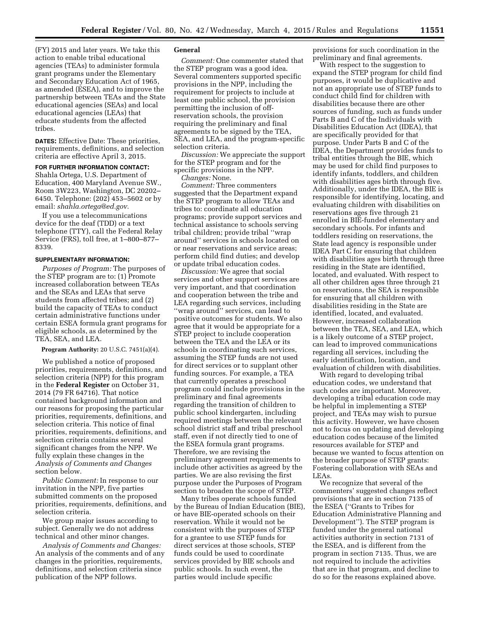(FY) 2015 and later years. We take this action to enable tribal educational agencies (TEAs) to administer formula grant programs under the Elementary and Secondary Education Act of 1965, as amended (ESEA), and to improve the partnership between TEAs and the State educational agencies (SEAs) and local educational agencies (LEAs) that educate students from the affected tribes.

**DATES:** Effective Date: These priorities, requirements, definitions, and selection criteria are effective April 3, 2015.

**FOR FURTHER INFORMATION CONTACT:**  Shahla Ortega, U.S. Department of Education, 400 Maryland Avenue SW., Room 3W223, Washington, DC 20202– 6450. Telephone: (202) 453–5602 or by email: *[shahla.ortega@ed.gov.](mailto:shahla.ortega@ed.gov)* 

If you use a telecommunications device for the deaf (TDD) or a text telephone (TTY), call the Federal Relay Service (FRS), toll free, at 1–800–877– 8339.

#### **SUPPLEMENTARY INFORMATION:**

*Purposes of Program:* The purposes of the STEP program are to: (1) Promote increased collaboration between TEAs and the SEAs and LEAs that serve students from affected tribes; and (2) build the capacity of TEAs to conduct certain administrative functions under certain ESEA formula grant programs for eligible schools, as determined by the TEA, SEA, and LEA.

**Program Authority:** 20 U.S.C. 7451(a)(4).

We published a notice of proposed priorities, requirements, definitions, and selection criteria (NPP) for this program in the **Federal Register** on October 31, 2014 (79 FR 64716). That notice contained background information and our reasons for proposing the particular priorities, requirements, definitions, and selection criteria. This notice of final priorities, requirements, definitions, and selection criteria contains several significant changes from the NPP. We fully explain these changes in the *Analysis of Comments and Changes*  section below.

*Public Comment:* In response to our invitation in the NPP, five parties submitted comments on the proposed priorities, requirements, definitions, and selection criteria.

We group major issues according to subject. Generally we do not address technical and other minor changes.

*Analysis of Comments and Changes:*  An analysis of the comments and of any changes in the priorities, requirements, definitions, and selection criteria since publication of the NPP follows.

## **General**

*Comment:* One commenter stated that the STEP program was a good idea. Several commenters supported specific provisions in the NPP, including the requirement for projects to include at least one public school, the provision permitting the inclusion of offreservation schools, the provision requiring the preliminary and final agreements to be signed by the TEA, SEA, and LEA, and the program-specific selection criteria.

*Discussion:* We appreciate the support for the STEP program and for the specific provisions in the NPP.

*Changes:* None.

*Comment:* Three commenters suggested that the Department expand the STEP program to allow TEAs and tribes to: coordinate all education programs; provide support services and technical assistance to schools serving tribal children; provide tribal ''wrap around'' services in schools located on or near reservations and service areas; perform child find duties; and develop or update tribal education codes.

*Discussion:* We agree that social services and other support services are very important, and that coordination and cooperation between the tribe and LEA regarding such services, including ''wrap around'' services, can lead to positive outcomes for students. We also agree that it would be appropriate for a STEP project to include cooperation between the TEA and the LEA or its schools in coordinating such services, assuming the STEP funds are not used for direct services or to supplant other funding sources. For example, a TEA that currently operates a preschool program could include provisions in the preliminary and final agreements regarding the transition of children to public school kindergarten, including required meetings between the relevant school district staff and tribal preschool staff, even if not directly tied to one of the ESEA formula grant programs. Therefore, we are revising the preliminary agreement requirements to include other activities as agreed by the parties. We are also revising the first purpose under the Purposes of Program section to broaden the scope of STEP.

Many tribes operate schools funded by the Bureau of Indian Education (BIE), or have BIE-operated schools on their reservation. While it would not be consistent with the purposes of STEP for a grantee to use STEP funds for direct services at those schools, STEP funds could be used to coordinate services provided by BIE schools and public schools. In such event, the parties would include specific

provisions for such coordination in the preliminary and final agreements.

With respect to the suggestion to expand the STEP program for child find purposes, it would be duplicative and not an appropriate use of STEP funds to conduct child find for children with disabilities because there are other sources of funding, such as funds under Parts B and C of the Individuals with Disabilities Education Act (IDEA), that are specifically provided for that purpose. Under Parts B and C of the IDEA, the Department provides funds to tribal entities through the BIE, which may be used for child find purposes to identify infants, toddlers, and children with disabilities ages birth through five. Additionally, under the IDEA, the BIE is responsible for identifying, locating, and evaluating children with disabilities on reservations ages five through 21 enrolled in BIE-funded elementary and secondary schools. For infants and toddlers residing on reservations, the State lead agency is responsible under IDEA Part C for ensuring that children with disabilities ages birth through three residing in the State are identified, located, and evaluated. With respect to all other children ages three through 21 on reservations, the SEA is responsible for ensuring that all children with disabilities residing in the State are identified, located, and evaluated. However, increased collaboration between the TEA, SEA, and LEA, which is a likely outcome of a STEP project, can lead to improved communications regarding all services, including the early identification, location, and evaluation of children with disabilities.

With regard to developing tribal education codes, we understand that such codes are important. Moreover, developing a tribal education code may be helpful in implementing a STEP project, and TEAs may wish to pursue this activity. However, we have chosen not to focus on updating and developing education codes because of the limited resources available for STEP and because we wanted to focus attention on the broader purpose of STEP grants: Fostering collaboration with SEAs and LEAs.

We recognize that several of the commenters' suggested changes reflect provisions that are in section 7135 of the ESEA (''Grants to Tribes for Education Administrative Planning and Development''). The STEP program is funded under the general national activities authority in section 7131 of the ESEA, and is different from the program in section 7135. Thus, we are not required to include the activities that are in that program, and decline to do so for the reasons explained above.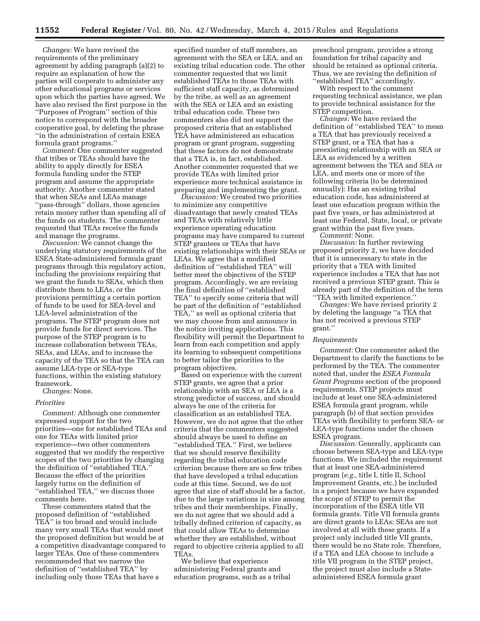*Changes:* We have revised the requirements of the preliminary agreement by adding paragraph (a)(2) to require an explanation of how the parties will cooperate to administer any other educational programs or services upon which the parties have agreed. We have also revised the first purpose in the ''Purposes of Program'' section of this notice to correspond with the broader cooperative goal, by deleting the phrase ''in the administration of certain ESEA formula grant programs.''

*Comment:* One commenter suggested that tribes or TEAs should have the ability to apply directly for ESEA formula funding under the STEP program and assume the appropriate authority. Another commenter stated that when SEAs and LEAs manage ''pass-through'' dollars, those agencies retain money rather than spending all of the funds on students. The commenter requested that TEAs receive the funds and manage the programs.

*Discussion:* We cannot change the underlying statutory requirements of the ESEA State-administered formula grant programs through this regulatory action, including the provisions requiring that we grant the funds to SEAs, which then distribute them to LEAs, or the provisions permitting a certain portion of funds to be used for SEA-level and LEA-level administration of the programs. The STEP program does not provide funds for direct services. The purpose of the STEP program is to increase collaboration between TEAs, SEAs, and LEAs, and to increase the capacity of the TEA so that the TEA can assume LEA-type or SEA-type functions, within the existing statutory framework.

*Changes:* None.

#### *Priorities*

*Comment:* Although one commenter expressed support for the two priorities—one for established TEAs and one for TEAs with limited prior experience—two other commenters suggested that we modify the respective scopes of the two priorities by changing the definition of ''established TEA.'' Because the effect of the priorities largely turns on the definition of "established TEA," we discuss those comments here.

These commenters stated that the proposed definition of ''established TEA'' is too broad and would include many very small TEAs that would meet the proposed definition but would be at a competitive disadvantage compared to larger TEAs. One of these commenters recommended that we narrow the definition of ''established TEA'' by including only those TEAs that have a

specified number of staff members, an agreement with the SEA or LEA, and an existing tribal education code. The other commenter requested that we limit established TEAs to those TEAs with sufficient staff capacity, as determined by the tribe, as well as an agreement with the SEA or LEA and an existing tribal education code. These two commenters also did not support the proposed criteria that an established TEA have administered an education program or grant program, suggesting that these factors do not demonstrate that a TEA is, in fact, established. Another commenter requested that we provide TEAs with limited prior experience more technical assistance in preparing and implementing the grant.

*Discussion:* We created two priorities to minimize any competitive disadvantage that newly created TEAs and TEAs with relatively little experience operating education programs may have compared to current STEP grantees or TEAs that have existing relationships with their SEAs or LEAs. We agree that a modified definition of ''established TEA'' will better meet the objectives of the STEP program. Accordingly, we are revising the final definition of ''established TEA'' to specify some criteria that will be part of the definition of ''established TEA,'' as well as optional criteria that we may choose from and announce in the notice inviting applications. This flexibility will permit the Department to learn from each competition and apply its learning to subsequent competitions to better tailor the priorities to the program objectives.

Based on experience with the current STEP grants, we agree that a prior relationship with an SEA or LEA is a strong predictor of success, and should always be one of the criteria for classification as an established TEA. However, we do not agree that the other criteria that the commenters suggested should always be used to define an ''established TEA.'' First, we believe that we should reserve flexibility regarding the tribal education code criterion because there are so few tribes that have developed a tribal education code at this time. Second, we do not agree that size of staff should be a factor, due to the large variations in size among tribes and their memberships. Finally, we do not agree that we should add a tribally defined criterion of capacity, as that could allow TEAs to determine whether they are established, without regard to objective criteria applied to all TEAs.

We believe that experience administering Federal grants and education programs, such as a tribal

preschool program, provides a strong foundation for tribal capacity and should be retained as optional criteria. Thus, we are revising the definition of ''established TEA'' accordingly.

With respect to the comment requesting technical assistance, we plan to provide technical assistance for the STEP competition.

*Changes:* We have revised the definition of ''established TEA'' to mean a TEA that has previously received a STEP grant, or a TEA that has a preexisting relationship with an SEA or LEA as evidenced by a written agreement between the TEA and SEA or LEA, and meets one or more of the following criteria (to be determined annually): Has an existing tribal education code, has administered at least one education program within the past five years, or has administered at least one Federal, State, local, or private grant within the past five years.

*Comment:* None.

*Discussion:* In further reviewing proposed priority 2, we have decided that it is unnecessary to state in the priority that a TEA with limited experience includes a TEA that has not received a previous STEP grant. This is already part of the definition of the term ''TEA with limited experience.''

*Changes:* We have revised priority 2 by deleting the language ''a TEA that has not received a previous STEP grant.''

### *Requirements*

*Comment:* One commenter asked the Department to clarify the functions to be performed by the TEA. The commenter noted that, under the *ESEA Formula Grant Programs* section of the proposed requirements, STEP projects must include at least one SEA-administered ESEA formula grant program, while paragraph (b) of that section provides TEAs with flexibility to perform SEA- or LEA-type functions under the chosen ESEA program.

*Discussion:* Generally, applicants can choose between SEA-type and LEA-type functions. We included the requirement that at least one SEA-administered program (*e.g.,* title I, title II, School Improvement Grants, etc.) be included in a project because we have expanded the scope of STEP to permit the incorporation of the ESEA title VII formula grants. Title VII formula grants are direct grants to LEAs; SEAs are not involved at all with these grants. If a project only included title VII grants, there would be no State role. Therefore, if a TEA and LEA choose to include a title VII program in the STEP project, the project must also include a Stateadministered ESEA formula grant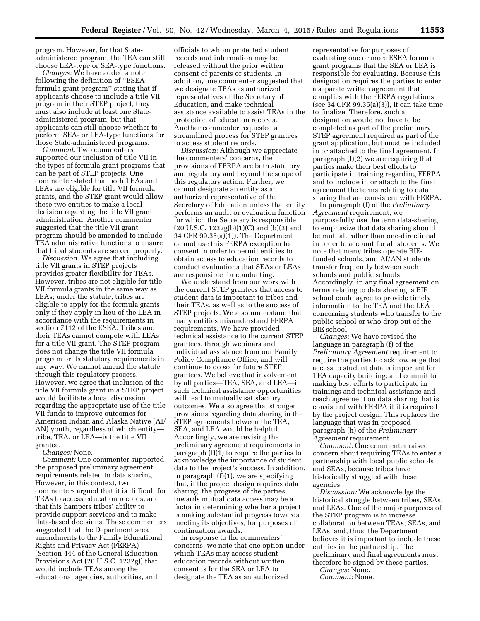program. However, for that Stateadministered program, the TEA can still choose LEA-type or SEA-type functions.

*Changes:* We have added a note following the definition of ''ESEA formula grant program'' stating that if applicants choose to include a title VII program in their STEP project, they must also include at least one Stateadministered program, but that applicants can still choose whether to perform SEA- or LEA-type functions for those State-administered programs.

*Comment:* Two commenters supported our inclusion of title VII in the types of formula grant programs that can be part of STEP projects. One commenter stated that both TEAs and LEAs are eligible for title VII formula grants, and the STEP grant would allow these two entities to make a local decision regarding the title VII grant administration. Another commenter suggested that the title VII grant program should be amended to include TEA administrative functions to ensure that tribal students are served properly.

*Discussion:* We agree that including title VII grants in STEP projects provides greater flexibility for TEAs. However, tribes are not eligible for title VII formula grants in the same way as LEAs; under the statute, tribes are eligible to apply for the formula grants only if they apply in lieu of the LEA in accordance with the requirements in section 7112 of the ESEA. Tribes and their TEAs cannot compete with LEAs for a title VII grant. The STEP program does not change the title VII formula program or its statutory requirements in any way. We cannot amend the statute through this regulatory process. However, we agree that inclusion of the title VII formula grant in a STEP project would facilitate a local discussion regarding the appropriate use of the title VII funds to improve outcomes for American Indian and Alaska Native (AI/ AN) youth, regardless of which entity tribe, TEA, or LEA—is the title VII grantee.

*Changes:* None.

*Comment:* One commenter supported the proposed preliminary agreement requirements related to data sharing. However, in this context, two commenters argued that it is difficult for TEAs to access education records, and that this hampers tribes' ability to provide support services and to make data-based decisions. These commenters suggested that the Department seek amendments to the Family Educational Rights and Privacy Act (FERPA) (Section 444 of the General Education Provisions Act (20 U.S.C. 1232g)) that would include TEAs among the educational agencies, authorities, and

officials to whom protected student records and information may be released without the prior written consent of parents or students. In addition, one commenter suggested that we designate TEAs as authorized representatives of the Secretary of Education, and make technical assistance available to assist TEAs in the protection of education records. Another commenter requested a streamlined process for STEP grantees to access student records.

*Discussion:* Although we appreciate the commenters' concerns, the provisions of FERPA are both statutory and regulatory and beyond the scope of this regulatory action. Further, we cannot designate an entity as an authorized representative of the Secretary of Education unless that entity performs an audit or evaluation function for which the Secretary is responsible (20 U.S.C. 1232g(b)(1)(C) and (b)(3) and 34 CFR 99.35(a)(1)). The Department cannot use this FERPA exception to consent in order to permit entities to obtain access to education records to conduct evaluations that SEAs or LEAs are responsible for conducting.

We understand from our work with the current STEP grantees that access to student data is important to tribes and their TEAs, as well as to the success of STEP projects. We also understand that many entities misunderstand FERPA requirements. We have provided technical assistance to the current STEP grantees, through webinars and individual assistance from our Family Policy Compliance Office, and will continue to do so for future STEP grantees. We believe that involvement by all parties—TEA, SEA, and LEA—in such technical assistance opportunities will lead to mutually satisfactory outcomes. We also agree that stronger provisions regarding data sharing in the STEP agreements between the TEA, SEA, and LEA would be helpful. Accordingly, we are revising the preliminary agreement requirements in paragraph (f)(1) to require the parties to acknowledge the importance of student data to the project's success. In addition, in paragraph (f)(1), we are specifying that, if the project design requires data sharing, the progress of the parties towards mutual data access may be a factor in determining whether a project is making substantial progress towards meeting its objectives, for purposes of continuation awards.

In response to the commenters' concerns, we note that one option under which TEAs may access student education records without written consent is for the SEA or LEA to designate the TEA as an authorized

representative for purposes of evaluating one or more ESEA formula grant programs that the SEA or LEA is responsible for evaluating. Because this designation requires the parties to enter a separate written agreement that complies with the FERPA regulations (see 34 CFR 99.35(a)(3)), it can take time to finalize. Therefore, such a designation would not have to be completed as part of the preliminary STEP agreement required as part of the grant application, but must be included in or attached to the final agreement. In paragraph (f)(2) we are requiring that parties make their best efforts to participate in training regarding FERPA and to include in or attach to the final agreement the terms relating to data sharing that are consistent with FERPA.

In paragraph (f) of the *Preliminary Agreement* requirement, we purposefully use the term data-sharing to emphasize that data sharing should be mutual, rather than one-directional, in order to account for all students. We note that many tribes operate BIEfunded schools, and AI/AN students transfer frequently between such schools and public schools. Accordingly, in any final agreement on terms relating to data sharing, a BIE school could agree to provide timely information to the TEA and the LEA concerning students who transfer to the public school or who drop out of the BIE school.

*Changes:* We have revised the language in paragraph (f) of the *Preliminary Agreement* requirement to require the parties to: acknowledge that access to student data is important for TEA capacity building; and commit to making best efforts to participate in trainings and technical assistance and reach agreement on data sharing that is consistent with FERPA if it is required by the project design. This replaces the language that was in proposed paragraph (h) of the *Preliminary Agreement* requirement.

*Comment:* One commenter raised concern about requiring TEAs to enter a partnership with local public schools and SEAs, because tribes have historically struggled with these agencies.

*Discussion:* We acknowledge the historical struggle between tribes, SEAs, and LEAs. One of the major purposes of the STEP program is to increase collaboration between TEAs, SEAs, and LEAs, and, thus, the Department believes it is important to include these entities in the partnership. The preliminary and final agreements must therefore be signed by these parties.

*Changes:* None. *Comment:* None.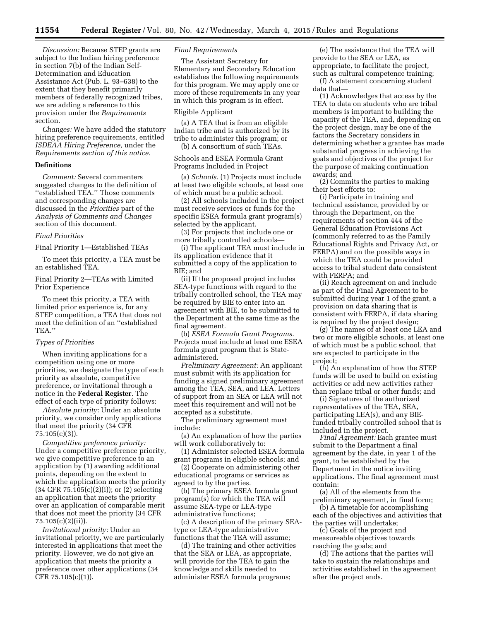*Discussion:* Because STEP grants are subject to the Indian hiring preference in section 7(b) of the Indian Self-Determination and Education Assistance Act (Pub. L. 93–638) to the extent that they benefit primarily members of federally recognized tribes, we are adding a reference to this provision under the *Requirements*  section.

*Changes:* We have added the statutory hiring preference requirements, entitled *ISDEAA Hiring Preference,* under the *Requirements section of this notice.* 

#### **Definitions**

*Comment:* Several commenters suggested changes to the definition of ''established TEA.'' Those comments and corresponding changes are discussed in the *Priorities* part of the *Analysis of Comments and Changes*  section of this document.

#### *Final Priorities*

Final Priority 1—Established TEAs

To meet this priority, a TEA must be an established TEA.

Final Priority 2—TEAs with Limited Prior Experience

To meet this priority, a TEA with limited prior experience is, for any STEP competition, a TEA that does not meet the definition of an ''established TEA.''

## *Types of Priorities*

When inviting applications for a competition using one or more priorities, we designate the type of each priority as absolute, competitive preference, or invitational through a notice in the **Federal Register**. The effect of each type of priority follows:

*Absolute priority:* Under an absolute priority, we consider only applications that meet the priority (34 CFR 75.105(c)(3)).

*Competitive preference priority:*  Under a competitive preference priority, we give competitive preference to an application by (1) awarding additional points, depending on the extent to which the application meets the priority (34 CFR 75.105(c)(2)(i)); or (2) selecting an application that meets the priority over an application of comparable merit that does not meet the priority (34 CFR 75.105(c)(2)(ii)).

*Invitational priority:* Under an invitational priority, we are particularly interested in applications that meet the priority. However, we do not give an application that meets the priority a preference over other applications (34 CFR 75.105(c)(1)).

# *Final Requirements*

The Assistant Secretary for Elementary and Secondary Education establishes the following requirements for this program. We may apply one or more of these requirements in any year in which this program is in effect.

# Eligible Applicant

(a) A TEA that is from an eligible Indian tribe and is authorized by its tribe to administer this program; or (b) A consortium of such TEAs.

Schools and ESEA Formula Grant

Programs Included in Project

(a) *Schools.* (1) Projects must include at least two eligible schools, at least one of which must be a public school.

(2) All schools included in the project must receive services or funds for the specific ESEA formula grant program(s) selected by the applicant.

(3) For projects that include one or more tribally controlled schools—

(i) The applicant TEA must include in its application evidence that it submitted a copy of the application to BIE; and

(ii) If the proposed project includes SEA-type functions with regard to the tribally controlled school, the TEA may be required by BIE to enter into an agreement with BIE, to be submitted to the Department at the same time as the final agreement.

(b) *ESEA Formula Grant Programs.*  Projects must include at least one ESEA formula grant program that is Stateadministered.

*Preliminary Agreement:* An applicant must submit with its application for funding a signed preliminary agreement among the TEA, SEA, and LEA. Letters of support from an SEA or LEA will not meet this requirement and will not be accepted as a substitute.

The preliminary agreement must include:

(a) An explanation of how the parties will work collaboratively to:

(1) Administer selected ESEA formula grant programs in eligible schools; and

(2) Cooperate on administering other educational programs or services as agreed to by the parties.

(b) The primary ESEA formula grant program(s) for which the TEA will assume SEA-type or LEA-type administrative functions;

(c) A description of the primary SEAtype or LEA-type administrative functions that the TEA will assume;

(d) The training and other activities that the SEA or LEA, as appropriate, will provide for the TEA to gain the knowledge and skills needed to administer ESEA formula programs;

(e) The assistance that the TEA will provide to the SEA or LEA, as appropriate, to facilitate the project, such as cultural competence training;

(f) A statement concerning student data that—

(1) Acknowledges that access by the TEA to data on students who are tribal members is important to building the capacity of the TEA, and, depending on the project design, may be one of the factors the Secretary considers in determining whether a grantee has made substantial progress in achieving the goals and objectives of the project for the purpose of making continuation awards; and

(2) Commits the parties to making their best efforts to:

(i) Participate in training and technical assistance, provided by or through the Department, on the requirements of section 444 of the General Education Provisions Act (commonly referred to as the Family Educational Rights and Privacy Act, or FERPA) and on the possible ways in which the TEA could be provided access to tribal student data consistent with FERPA; and

(ii) Reach agreement on and include as part of the Final Agreement to be submitted during year 1 of the grant, a provision on data sharing that is consistent with FERPA, if data sharing is required by the project design;

(g) The names of at least one LEA and two or more eligible schools, at least one of which must be a public school, that are expected to participate in the project;

(h) An explanation of how the STEP funds will be used to build on existing activities or add new activities rather than replace tribal or other funds; and

(i) Signatures of the authorized representatives of the TEA, SEA, participating LEA(s), and any BIEfunded tribally controlled school that is included in the project.

*Final Agreement:* Each grantee must submit to the Department a final agreement by the date, in year 1 of the grant, to be established by the Department in the notice inviting applications. The final agreement must contain:

(a) All of the elements from the preliminary agreement, in final form;

(b) A timetable for accomplishing each of the objectives and activities that the parties will undertake;

(c) Goals of the project and measureable objectives towards reaching the goals; and

(d) The actions that the parties will take to sustain the relationships and activities established in the agreement after the project ends.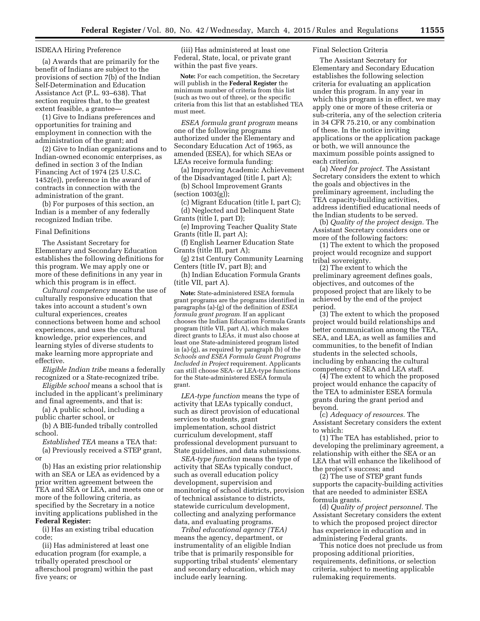#### ISDEAA Hiring Preference

(a) Awards that are primarily for the benefit of Indians are subject to the provisions of section 7(b) of the Indian Self-Determination and Education Assistance Act (P.L. 93–638). That section requires that, to the greatest extent feasible, a grantee—

(1) Give to Indians preferences and opportunities for training and employment in connection with the administration of the grant; and

(2) Give to Indian organizations and to Indian-owned economic enterprises, as defined in section 3 of the Indian Financing Act of 1974 (25 U.S.C. 1452(e)), preference in the award of contracts in connection with the administration of the grant.

(b) For purposes of this section, an Indian is a member of any federally recognized Indian tribe.

#### Final Definitions

The Assistant Secretary for Elementary and Secondary Education establishes the following definitions for this program. We may apply one or more of these definitions in any year in which this program is in effect.

*Cultural competency* means the use of culturally responsive education that takes into account a student's own cultural experiences, creates connections between home and school experiences, and uses the cultural knowledge, prior experiences, and learning styles of diverse students to make learning more appropriate and effective.

*Eligible Indian tribe* means a federally recognized or a State-recognized tribe.

*Eligible school* means a school that is included in the applicant's preliminary and final agreements, and that is:

(a) A public school, including a public charter school, or

(b) A BIE-funded tribally controlled school.

*Established TEA* means a TEA that: (a) Previously received a STEP grant, or

(b) Has an existing prior relationship with an SEA or LEA as evidenced by a prior written agreement between the TEA and SEA or LEA, and meets one or more of the following criteria, as specified by the Secretary in a notice inviting applications published in the **Federal Register:** 

(i) Has an existing tribal education code;

(ii) Has administered at least one education program (for example, a tribally operated preschool or afterschool program) within the past five years; or

(iii) Has administered at least one Federal, State, local, or private grant within the past five years.

**Note:** For each competition, the Secretary will publish in the **Federal Register** the minimum number of criteria from this list (such as two out of three), or the specific criteria from this list that an established TEA must meet.

*ESEA formula grant program* means one of the following programs authorized under the Elementary and Secondary Education Act of 1965, as amended (ESEA), for which SEAs or LEAs receive formula funding:

(a) Improving Academic Achievement of the Disadvantaged (title I, part A);

(b) School Improvement Grants (section 1003(g));

(c) Migrant Education (title I, part C); (d) Neglected and Delinquent State

Grants (title I, part D);

(e) Improving Teacher Quality State Grants (title II, part A);

(f) English Learner Education State Grants (title III, part A);

(g) 21st Century Community Learning Centers (title IV, part B); and

(h) Indian Education Formula Grants (title VII, part A).

**Note:** State-administered ESEA formula grant programs are the programs identified in paragraphs (a)-(g) of the definition of *ESEA formula grant program.* If an applicant chooses the Indian Education Formula Grants program (title VII, part A), which makes direct grants to LEAs, it must also choose at least one State-administered program listed in (a)-(g), as required by paragraph (b) of the *Schools and ESEA Formula Grant Programs Included in Project* requirement. Applicants can still choose SEA- or LEA-type functions for the State-administered ESEA formula grant.

*LEA-type function* means the type of activity that LEAs typically conduct, such as direct provision of educational services to students, grant implementation, school district curriculum development, staff professional development pursuant to State guidelines, and data submissions.

*SEA-type function* means the type of activity that SEAs typically conduct, such as overall education policy development, supervision and monitoring of school districts, provision of technical assistance to districts, statewide curriculum development, collecting and analyzing performance data, and evaluating programs.

*Tribal educational agency (TEA)*  means the agency, department, or instrumentality of an eligible Indian tribe that is primarily responsible for supporting tribal students' elementary and secondary education, which may include early learning.

# Final Selection Criteria

The Assistant Secretary for Elementary and Secondary Education establishes the following selection criteria for evaluating an application under this program. In any year in which this program is in effect, we may apply one or more of these criteria or sub-criteria, any of the selection criteria in 34 CFR 75.210, or any combination of these. In the notice inviting applications or the application package or both, we will announce the maximum possible points assigned to each criterion.

(a) *Need for project.* The Assistant Secretary considers the extent to which the goals and objectives in the preliminary agreement, including the TEA capacity-building activities, address identified educational needs of the Indian students to be served.

(b) *Quality of the project design.* The Assistant Secretary considers one or more of the following factors:

(1) The extent to which the proposed project would recognize and support tribal sovereignty.

(2) The extent to which the preliminary agreement defines goals, objectives, and outcomes of the proposed project that are likely to be achieved by the end of the project period.

(3) The extent to which the proposed project would build relationships and better communication among the TEA, SEA, and LEA, as well as families and communities, to the benefit of Indian students in the selected schools, including by enhancing the cultural competency of SEA and LEA staff.

(4) The extent to which the proposed project would enhance the capacity of the TEA to administer ESEA formula grants during the grant period and beyond.

(c) *Adequacy of resources.* The Assistant Secretary considers the extent to which:

(1) The TEA has established, prior to developing the preliminary agreement, a relationship with either the SEA or an LEA that will enhance the likelihood of the project's success; and

(2) The use of STEP grant funds supports the capacity-building activities that are needed to administer ESEA formula grants.

(d) *Quality of project personnel.* The Assistant Secretary considers the extent to which the proposed project director has experience in education and in administering Federal grants.

This notice does not preclude us from proposing additional priorities, requirements, definitions, or selection criteria, subject to meeting applicable rulemaking requirements.